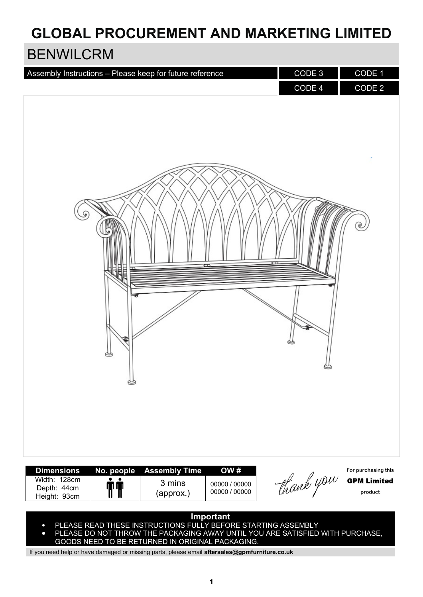## **GLOBAL PROCUREMENT AND MARKETING LIMITED**

### BENWILCRM

| Assembly Instructions - Please keep for future reference                       |                                             |                                       | CODE 3<br>CODE 4 | CODE 1<br>CODE 2                                     |
|--------------------------------------------------------------------------------|---------------------------------------------|---------------------------------------|------------------|------------------------------------------------------|
| S<br>E                                                                         |                                             | $\blacksquare$                        |                  | ೯                                                    |
| 읚<br>G                                                                         |                                             |                                       |                  |                                                      |
| <b>Dimensions</b><br>No. people<br>Width: 128cm<br>Depth: 44cm<br>Height: 93cm | <b>Assembly Time</b><br>3 mins<br>(approx.) | OW#<br>00000 / 00000<br>00000 / 00000 | thank you        | For purchasing this<br><b>GPM Limited</b><br>product |

### **Important**

- $\bullet$   $\;\;$  PLEASE READ THESE INSTRUCTIONS FULLY BEFORE STARTING ASSEMBLY
- PLEASE DO NOT THROW THE PACKAGING AWAY UNTIL YOU ARE SATISFIED WITH PURCHASE, GOODS NEED TO BE RETURNED IN ORIGINAL PACKAGING.

If you need help or have damaged or missing parts, please email **aftersales@gpmfurniture.co.uk**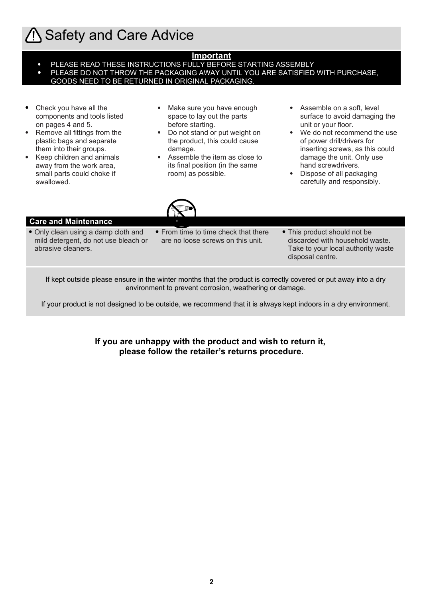## **1) Safety and Care Advice**

#### **Important**

- PLEASE READ THESE INSTRUCTIONS FULLY BEFORE STARTING ASSEMBLY
- PLEASE DO NOT THROW THE PACKAGING AWAY UNTIL YOU ARE SATISFIED WITH PURCHASE, GOODS NEED TO BE RETURNED IN ORIGINAL PACKAGING.
- Check you have all the components and tools listed on pages 4 and 5.
- Remove all fittings from the plastic bags and separate them into their groups.
- Keep children and animals away from the work area, small parts could choke if swallowed.
- Make sure you have enough space to lay out the parts before starting.
- Do not stand or put weight on the product, this could cause damage.
- Assemble the item as close to its final position (in the same room) as possible.
- Assemble on a soft, level surface to avoid damaging the unit or your floor.
- We do not recommend the use of power drill/drivers for inserting screws, as this could damage the unit. Only use hand screwdrivers.
- Dispose of all packaging carefully and responsibly.



### **Care and Maintenance**

- Only clean using a damp cloth and mild detergent, do not use bleach or abrasive cleaners.
- From time to time check that there are no loose screws on this unit.
- This product should not be discarded with household waste. Take to your local authority waste disposal centre.

If kept outside please ensure in the winter months that the product is correctly covered or put away into a dry environment to prevent corrosion, weathering or damage.

If your product is not designed to be outside, we recommend that it is always kept indoors in a dry environment.

**If you are unhappy with the product and wish to return it, please follow the retailer's returns procedure.**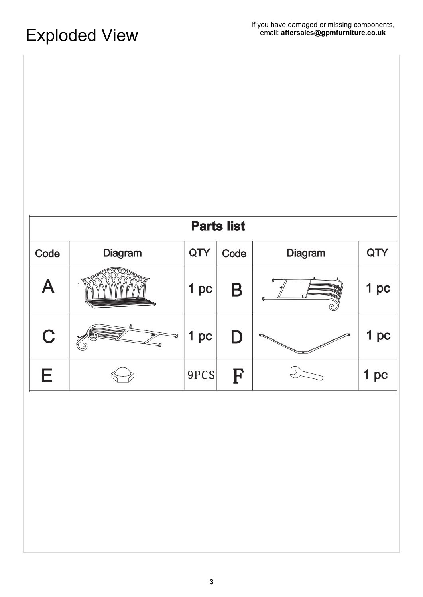| <b>Parts list</b> |                |      |      |         |                 |  |  |
|-------------------|----------------|------|------|---------|-----------------|--|--|
| Code              | <b>Diagram</b> |      | Code | Diagram | QTY             |  |  |
| Α                 |                | 1 pc | Β    |         | 1 pc            |  |  |
| C                 |                | 1 pc | D    |         | 1 <sub>pc</sub> |  |  |
| Е                 |                | 9PCS | F    |         | 1 pc            |  |  |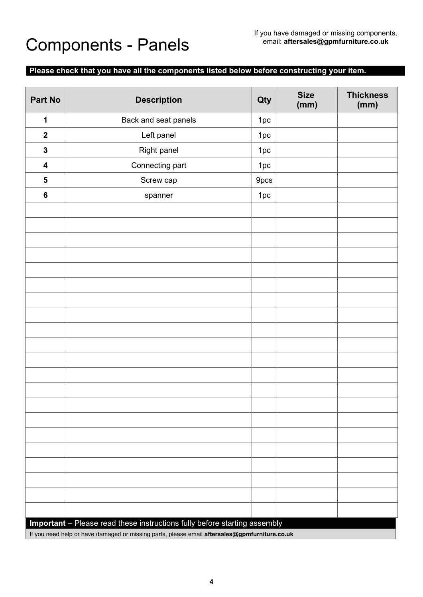# Components - Panels

### **Please check that you have all the components listed below before constructing your item.**

| Part No                                                                                       | <b>Description</b>   | Qty  | <b>Size</b><br>(mm) | <b>Thickness</b><br>(mm) |  |  |  |
|-----------------------------------------------------------------------------------------------|----------------------|------|---------------------|--------------------------|--|--|--|
| 1                                                                                             | Back and seat panels | 1pc  |                     |                          |  |  |  |
| $\boldsymbol{2}$                                                                              | Left panel           | 1pc  |                     |                          |  |  |  |
| $\mathbf 3$                                                                                   | Right panel          | 1pc  |                     |                          |  |  |  |
| $\overline{\mathbf{4}}$                                                                       | Connecting part      | 1pc  |                     |                          |  |  |  |
| ${\bf 5}$                                                                                     | Screw cap            | 9pcs |                     |                          |  |  |  |
| $\bf 6$                                                                                       | spanner              | 1pc  |                     |                          |  |  |  |
|                                                                                               |                      |      |                     |                          |  |  |  |
|                                                                                               |                      |      |                     |                          |  |  |  |
|                                                                                               |                      |      |                     |                          |  |  |  |
|                                                                                               |                      |      |                     |                          |  |  |  |
|                                                                                               |                      |      |                     |                          |  |  |  |
|                                                                                               |                      |      |                     |                          |  |  |  |
|                                                                                               |                      |      |                     |                          |  |  |  |
|                                                                                               |                      |      |                     |                          |  |  |  |
|                                                                                               |                      |      |                     |                          |  |  |  |
|                                                                                               |                      |      |                     |                          |  |  |  |
|                                                                                               |                      |      |                     |                          |  |  |  |
|                                                                                               |                      |      |                     |                          |  |  |  |
|                                                                                               |                      |      |                     |                          |  |  |  |
|                                                                                               |                      |      |                     |                          |  |  |  |
|                                                                                               |                      |      |                     |                          |  |  |  |
|                                                                                               |                      |      |                     |                          |  |  |  |
|                                                                                               |                      |      |                     |                          |  |  |  |
|                                                                                               |                      |      |                     |                          |  |  |  |
|                                                                                               |                      |      |                     |                          |  |  |  |
|                                                                                               |                      |      |                     |                          |  |  |  |
|                                                                                               |                      |      |                     |                          |  |  |  |
| Important - Please read these instructions fully before starting assembly                     |                      |      |                     |                          |  |  |  |
| If you need help or have damaged or missing parts, please email aftersales@gpmfurniture.co.uk |                      |      |                     |                          |  |  |  |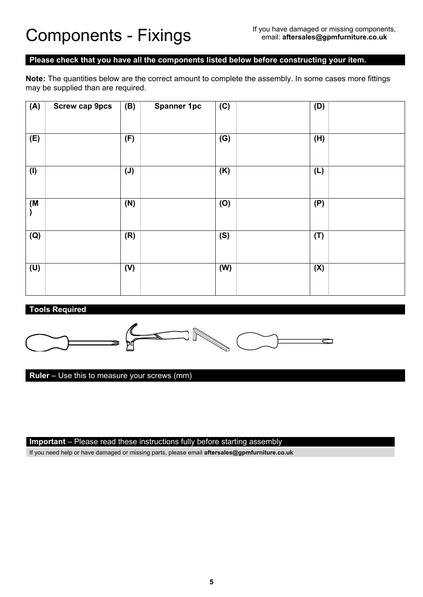#### **Please check that you have all the components listed below before constructing your item.**

**Note:** The quantities below are the correct amount to complete the assembly. In some cases more fittings may be supplied than are required.

| (A) | <b>Screw cap 9pcs</b> | (B)            | <b>Spanner 1pc</b> | $\overline{(C)}$ | (D) |  |
|-----|-----------------------|----------------|--------------------|------------------|-----|--|
|     |                       |                |                    |                  |     |  |
| (E) |                       | (F)            |                    | (G)              | (H) |  |
|     |                       |                |                    |                  |     |  |
| (1) |                       | $(\mathsf{J})$ |                    | (K)              | (L) |  |
|     |                       |                |                    |                  |     |  |
| (M  |                       | (N)            |                    | (O)              | (P) |  |
|     |                       |                |                    |                  |     |  |
| (Q) |                       | (R)            |                    | (S)              | (T) |  |
|     |                       |                |                    |                  |     |  |
| (U) |                       | (V)            |                    | (W)              | (X) |  |
|     |                       |                |                    |                  |     |  |

### **Tools Required**



**Ruler** – Use this to measure your screws (mm)

### **Important** – Please read these instructions fully before starting assembly

If you need help or have damaged or missing parts, please email **aftersales@gpmfurniture.co.uk**